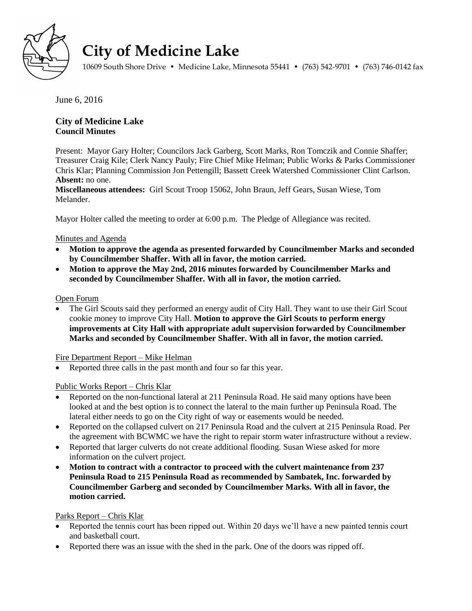

# **City of Medicine Lake**

10609 South Shore Drive • Medicine Lake, Minnesota 55441 • (763) 542-9701 • (763) 746-0142 fax

June 6, 2016

# **City of Medicine Lake Council Minutes**

Present: Mayor Gary Holter; Councilors Jack Garberg, Scott Marks, Ron Tomczik and Connie Shaffer; Treasurer Craig Kile; Clerk Nancy Pauly; Fire Chief Mike Helman; Public Works & Parks Commissioner Chris Klar; Planning Commission Jon Pettengill; Bassett Creek Watershed Commissioner Clint Carlson. **Absent:** no one.

**Miscellaneous attendees:** Girl Scout Troop 15062, John Braun, Jeff Gears, Susan Wiese, Tom Melander.

Mayor Holter called the meeting to order at 6:00 p.m. The Pledge of Allegiance was recited.

# Minutes and Agenda

- **Motion to approve the agenda as presented forwarded by Councilmember Marks and seconded by Councilmember Shaffer. With all in favor, the motion carried.**
- **Motion to approve the May 2nd, 2016 minutes forwarded by Councilmember Marks and seconded by Councilmember Shaffer. With all in favor, the motion carried.**

## Open Forum

 The Girl Scouts said they performed an energy audit of City Hall. They want to use their Girl Scout cookie money to improve City Hall. **Motion to approve the Girl Scouts to perform energy improvements at City Hall with appropriate adult supervision forwarded by Councilmember Marks and seconded by Councilmember Shaffer. With all in favor, the motion carried.**

Fire Department Report – Mike Helman

• Reported three calls in the past month and four so far this year.

# Public Works Report – Chris Klar

- Reported on the non-functional lateral at 211 Peninsula Road. He said many options have been looked at and the best option is to connect the lateral to the main further up Peninsula Road. The lateral either needs to go on the City right of way or easements would be needed.
- Reported on the collapsed culvert on 217 Peninsula Road and the culvert at 215 Peninsula Road. Per the agreement with BCWMC we have the right to repair storm water infrastructure without a review.
- Reported that larger culverts do not create additional flooding. Susan Wiese asked for more information on the culvert project.
- **Motion to contract with a contractor to proceed with the culvert maintenance from 237 Peninsula Road to 215 Peninsula Road as recommended by Sambatek, Inc. forwarded by Councilmember Garberg and seconded by Councilmember Marks. With all in favor, the motion carried.**

# Parks Report – Chris Klar

- Reported the tennis court has been ripped out. Within 20 days we'll have a new painted tennis court and basketball court.
- Reported there was an issue with the shed in the park. One of the doors was ripped off.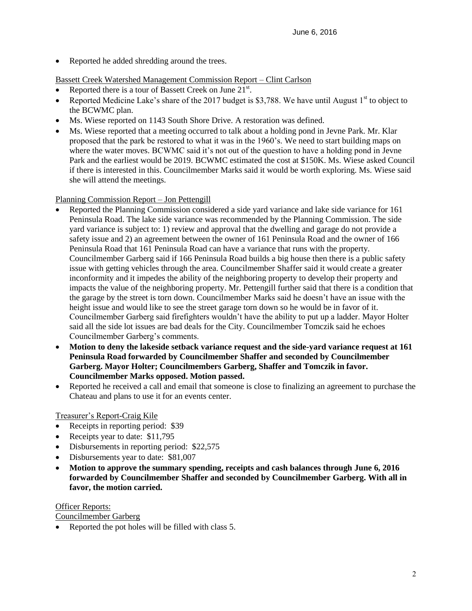• Reported he added shredding around the trees.

# Bassett Creek Watershed Management Commission Report – Clint Carlson

- Reported there is a tour of Bassett Creek on June  $21<sup>st</sup>$ .
- Reported Medicine Lake's share of the 2017 budget is \$3,788. We have until August  $1<sup>st</sup>$  to object to the BCWMC plan.
- Ms. Wiese reported on 1143 South Shore Drive. A restoration was defined.
- Ms. Wiese reported that a meeting occurred to talk about a holding pond in Jevne Park. Mr. Klar proposed that the park be restored to what it was in the 1960's. We need to start building maps on where the water moves. BCWMC said it's not out of the question to have a holding pond in Jevne Park and the earliest would be 2019. BCWMC estimated the cost at \$150K. Ms. Wiese asked Council if there is interested in this. Councilmember Marks said it would be worth exploring. Ms. Wiese said she will attend the meetings.

## Planning Commission Report – Jon Pettengill

- Reported the Planning Commission considered a side yard variance and lake side variance for 161 Peninsula Road. The lake side variance was recommended by the Planning Commission. The side yard variance is subject to: 1) review and approval that the dwelling and garage do not provide a safety issue and 2) an agreement between the owner of 161 Peninsula Road and the owner of 166 Peninsula Road that 161 Peninsula Road can have a variance that runs with the property. Councilmember Garberg said if 166 Peninsula Road builds a big house then there is a public safety issue with getting vehicles through the area. Councilmember Shaffer said it would create a greater inconformity and it impedes the ability of the neighboring property to develop their property and impacts the value of the neighboring property. Mr. Pettengill further said that there is a condition that the garage by the street is torn down. Councilmember Marks said he doesn't have an issue with the height issue and would like to see the street garage torn down so he would be in favor of it. Councilmember Garberg said firefighters wouldn't have the ability to put up a ladder. Mayor Holter said all the side lot issues are bad deals for the City. Councilmember Tomczik said he echoes Councilmember Garberg's comments.
- **Motion to deny the lakeside setback variance request and the side-yard variance request at 161 Peninsula Road forwarded by Councilmember Shaffer and seconded by Councilmember Garberg. Mayor Holter; Councilmembers Garberg, Shaffer and Tomczik in favor. Councilmember Marks opposed. Motion passed.**
- Reported he received a call and email that someone is close to finalizing an agreement to purchase the Chateau and plans to use it for an events center.

#### Treasurer's Report-Craig Kile

- Receipts in reporting period: \$39
- Receipts year to date: \$11,795
- Disbursements in reporting period: \$22,575
- Disbursements year to date: \$81,007
- **Motion to approve the summary spending, receipts and cash balances through June 6, 2016 forwarded by Councilmember Shaffer and seconded by Councilmember Garberg. With all in favor, the motion carried.**

#### Officer Reports:

### Councilmember Garberg

• Reported the pot holes will be filled with class 5.